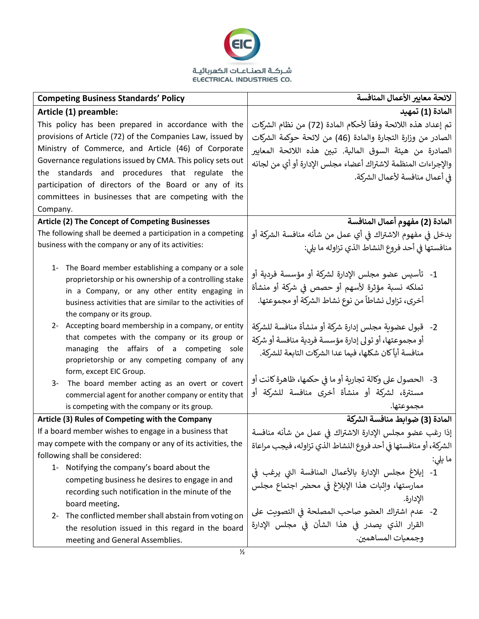

| <b>Competing Business Standards' Policy</b>                                                                                                                                                                                                               | لائحة معايير الأعمال المنافسة                                                                                                                                              |
|-----------------------------------------------------------------------------------------------------------------------------------------------------------------------------------------------------------------------------------------------------------|----------------------------------------------------------------------------------------------------------------------------------------------------------------------------|
| Article (1) preamble:                                                                                                                                                                                                                                     | المادة (1) تمهيد                                                                                                                                                           |
| This policy has been prepared in accordance with the                                                                                                                                                                                                      | تم إعداد هذه اللائحة وفقاً لأحكام المادة (72) من نظام الشركات                                                                                                              |
| provisions of Article (72) of the Companies Law, issued by                                                                                                                                                                                                | الصادر من وزارة التجارة والمادة (46) من لائحة حوكمة الشركات                                                                                                                |
| Ministry of Commerce, and Article (46) of Corporate                                                                                                                                                                                                       | الصادرة من هيئة السوق المالية. تبين هذه اللائحة المعايير                                                                                                                   |
| Governance regulations issued by CMA. This policy sets out                                                                                                                                                                                                | والإجراءات المنظمة لاشتراك أعضاء مجلس الإدارة أو أي من لجانه                                                                                                               |
| the standards and procedures that regulate the                                                                                                                                                                                                            | في أعمال منافسة لأعمال الشركة.                                                                                                                                             |
| participation of directors of the Board or any of its                                                                                                                                                                                                     |                                                                                                                                                                            |
| committees in businesses that are competing with the                                                                                                                                                                                                      |                                                                                                                                                                            |
| Company.                                                                                                                                                                                                                                                  |                                                                                                                                                                            |
| <b>Article (2) The Concept of Competing Businesses</b>                                                                                                                                                                                                    | المادة (2) مفهوم أعمال المنافسة                                                                                                                                            |
| The following shall be deemed a participation in a competing                                                                                                                                                                                              | يدخل في مفهوم الاشتراك في أي عمل من شأنه منافسة الشركة أو                                                                                                                  |
| business with the company or any of its activities:                                                                                                                                                                                                       | منافستها في أحد فروع النشاط الذي تزاوله ما يلي:                                                                                                                            |
| 1- The Board member establishing a company or a sole<br>proprietorship or his ownership of a controlling stake<br>in a Company, or any other entity engaging in<br>business activities that are similar to the activities of<br>the company or its group. | 1-   تأسيس عضو مجلس الإدارة لشركة أو مؤسسة فردية أو<br>تملكه نسبة مؤثرة لأسهم أو حصص في شركة أو منشأة<br>أخرى، تزاول نشاطاً من نوع نشاط الشركة أو مجموعتها.                |
| 2- Accepting board membership in a company, or entity<br>that competes with the company or its group or<br>managing the affairs of a competing<br>sole<br>proprietorship or any competing company of any                                                  | 2-   قبول عضوية مجلس إدارة شركة أو منشأة منافسة للشركة<br>أو مجموعتها، أو تولى إدارة مؤسسة فردية منافسة أو شركة<br>منافسة أياً كان شكلها، فيما عدا الشركات التابعة للشركة. |
| form, except EIC Group.<br>$3-$<br>The board member acting as an overt or covert<br>commercial agent for another company or entity that<br>is competing with the company or its group.                                                                    | 3-   الحصول على وكالة تجارية أو ما في حكمها، ظاهرة كانت أو<br>مستترة، لشركة أو منشأة أخرى منافسة للشركة أو<br>مجموعتها.                                                    |
| Article (3) Rules of Competing with the Company                                                                                                                                                                                                           | المادة (3) ضوابط منافسة الشركة                                                                                                                                             |
| If a board member wishes to engage in a business that                                                                                                                                                                                                     | إذا رغب عضو مجلس الإدارة الاشتراك في عمل من شأنه منافسة                                                                                                                    |
| may compete with the company or any of its activities, the                                                                                                                                                                                                | الشركة، أو منافستها في أحد فروع النشاط الذي تزاوله، فيجب مراعاة                                                                                                            |
| following shall be considered:                                                                                                                                                                                                                            | ما يلي:                                                                                                                                                                    |
| 1- Notifying the company's board about the<br>competing business he desires to engage in and<br>recording such notification in the minute of the<br>board meeting.                                                                                        | 1- إبلاغ مجلس الإدارة بالأعمال المنافسة التي يرغب في<br>ممارستها، وإثبات هذا الإبلاغ في محضر اجتماع مجلس<br>الإدارة.                                                       |
| 2- The conflicted member shall abstain from voting on                                                                                                                                                                                                     | 2- عدم اشتراك العضو صاحب المصلحة في التصويت على                                                                                                                            |
| the resolution issued in this regard in the board<br>meeting and General Assemblies.                                                                                                                                                                      | القرار الذي يصدر في هذا الشأن في مجلس الإدارة<br>وجمعيات المساهمين.                                                                                                        |